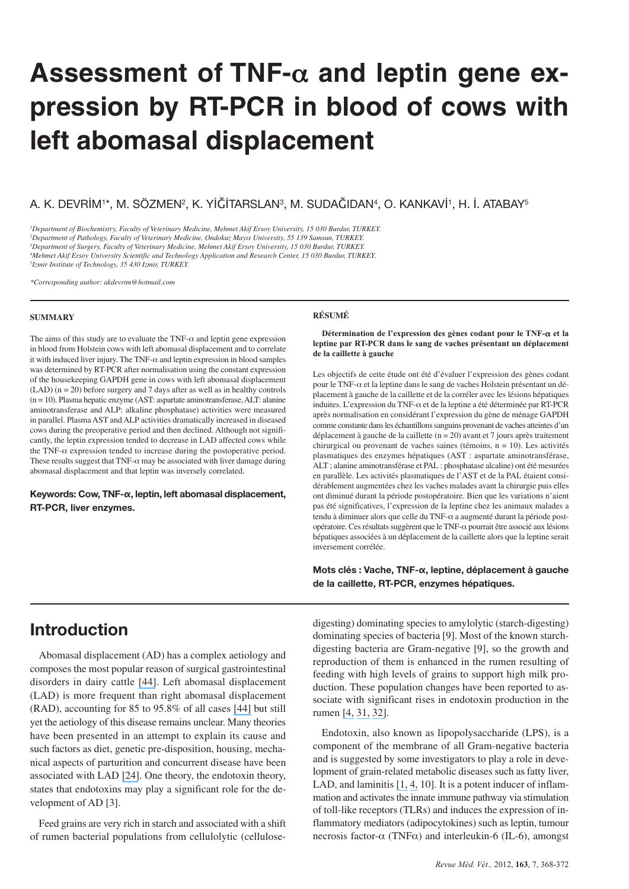# **Assessment of TNF-**α **and leptin gene expression by RT-PCR in blood of cows with left abomasal displacement**

A. K. DEVRİM1\*, M. SÖZMEN2, K. YİĞİTARSLAN3, M. SUDAĞIDAN4, O. KANKAVİ1, H. İ. ATABAY5

*1Department of Biochemistry, Faculty of Veterinary Medicine, Mehmet Akif Ersoy University, 15 030 Burdur, TURKEY. 2Department of Pathology, Faculty of Veterinary Medicine, Ondokuz Mayıs University, 55 139 Samsun, TURKEY. 3Department of Surgery, Faculty of Veterinary Medicine, Mehmet Akif Ersoy University, 15 030 Burdur, TURKEY. 4Mehmet Akif Ersoy University Scientific and Technology Application and Research Center, 15 030 Burdur, TURKEY. 5Izmir Institute of Technology, 35 430 Izmir, TURKEY.*

*\*Corresponding author: akdevrim@hotmail.com*

#### **SUMMARY**

The aims of this study are to evaluate the TNF- $\alpha$  and leptin gene expression in blood from Holstein cows with left abomasal displacement and to correlate it with induced liver injury. The TNF- $\alpha$  and leptin expression in blood samples was determined by RT-PCR after normalisation using the constant expression of the housekeeping GAPDH gene in cows with left abomasal displacement  $(LAD)$  ( $n = 20$ ) before surgery and 7 days after as well as in healthy controls (n = 10). Plasma hepatic enzyme (AST: aspartate aminotransferase, ALT: alanine aminotransferase and ALP: alkaline phosphatase) activities were measured in parallel. Plasma AST and ALP activities dramatically increased in diseased cows during the preoperative period and then declined. Although not significantly, the leptin expression tended to decrease in LAD affected cows while the TNF- $\alpha$  expression tended to increase during the postoperative period. These results suggest that TNF- $\alpha$  may be associated with liver damage during abomasal displacement and that leptin was inversely correlated.

**Keywords: Cow, TNF-α, leptin, left abomasal displacement, RT-PCR, liver enzymes.**

#### **RÉSUMÉ**

**Détermination de l'expression des gènes codant pour le TNF-**α **et la leptine par RT-PCR dans le sang de vaches présentant un déplacement de la caillette à gauche**

Les objectifs de cette étude ont été d'évaluer l'expression des gènes codant pour le TNF-α et la leptine dans le sang de vaches Holstein présentant un déplacement à gauche de la caillette et de la corréler avec les lésions hépatiques induites. L'expression du TNF-α et de la leptine a été déterminée par RT-PCR après normalisation en considérant l'expression du gène de ménage GAPDH comme constante dans les échantillons sanguins provenant de vaches atteintes d'un déplacement à gauche de la caillette (n = 20) avant et 7 jours après traitement chirurgical ou provenant de vaches saines (témoins,  $n = 10$ ). Les activités plasmatiques des enzymes hépatiques (AST : aspartate aminotransférase, ALT ; alanine aminotransférase et PAL : phosphatase alcaline) ont été mesurées en parallèle. Les activités plasmatiques de l'AST et de la PAL étaient considérablement augmentées chez les vaches malades avant la chirurgie puis elles ont diminué durant la période postopératoire. Bien que les variations n'aient pas été significatives, l'expression de la leptine chez les animaux malades a tendu à diminuer alors que celle du TNF-α a augmenté durant la période postopératoire. Ces résultats suggèrent que le TNF-α pourrait être associé aux lésions hépatiques associées à un déplacement de la caillette alors que la leptine serait inversement corrélée.

**Mots clés : Vache, TNF-α, leptine, déplacement à gauche de la caillette, RT-PCR, enzymes hépatiques.**

## **Introduction**

Abomasal displacement (AD) has a complex aetiology and composes the most popular reason of surgical gastrointestinal disorders in dairy cattle [\[44\]](https://www.researchgate.net/publication/20954633_Surgery_of_the_Bovine_Abomasum?el=1_x_8&enrichId=rgreq-189000823bfea67570bd19b9cdc6039c-XXX&enrichSource=Y292ZXJQYWdlOzI5ODQ1MDU4OTtBUzo0NDE3ODMwMjU5NjcxMDVAMTQ4MjM0MDY4OTcwNQ==). Left abomasal displacement (LAD) is more frequent than right abomasal displacement (RAD), accounting for 85 to 95.8% of all cases [\[44\]](https://www.researchgate.net/publication/20954633_Surgery_of_the_Bovine_Abomasum?el=1_x_8&enrichId=rgreq-189000823bfea67570bd19b9cdc6039c-XXX&enrichSource=Y292ZXJQYWdlOzI5ODQ1MDU4OTtBUzo0NDE3ODMwMjU5NjcxMDVAMTQ4MjM0MDY4OTcwNQ==) but still yet the aetiology of this disease remains unclear. Many theories have been presented in an attempt to explain its cause and such factors as diet, genetic pre-disposition, housing, mechanical aspects of parturition and concurrent disease have been associated with LAD [\[24\]](https://www.researchgate.net/publication/18151743_Left_abomasal_displacement_An_epidemiological_study?el=1_x_8&enrichId=rgreq-189000823bfea67570bd19b9cdc6039c-XXX&enrichSource=Y292ZXJQYWdlOzI5ODQ1MDU4OTtBUzo0NDE3ODMwMjU5NjcxMDVAMTQ4MjM0MDY4OTcwNQ==). One theory, the endotoxin theory, states that endotoxins may play a significant role for the development of AD [3].

Feed grains are very rich in starch and associated with a shift of rumen bacterial populations from cellulolytic (cellulosedigesting) dominating species to amylolytic (starch-digesting) dominating species of bacteria [9]. Most of the known starchdigesting bacteria are Gram-negative [9], so the growth and reproduction of them is enhanced in the rumen resulting of feeding with high levels of grains to support high milk production. These population changes have been reported to associate with significant rises in endotoxin production in the rumen [\[4,](https://www.researchgate.net/publication/15040792_Effect_of_feeding_regimen_on_concentration_of_free_endotoxin_in_ruminal_fluid_of_cattle?el=1_x_8&enrichId=rgreq-189000823bfea67570bd19b9cdc6039c-XXX&enrichSource=Y292ZXJQYWdlOzI5ODQ1MDU4OTtBUzo0NDE3ODMwMjU5NjcxMDVAMTQ4MjM0MDY4OTcwNQ==) [31,](https://www.researchgate.net/publication/22778261_Evidence_of_Endotoxins_in_the_Rumen_Bacteria_of_Cattle_Fed_Hay_or_Grain?el=1_x_8&enrichId=rgreq-189000823bfea67570bd19b9cdc6039c-XXX&enrichSource=Y292ZXJQYWdlOzI5ODQ1MDU4OTtBUzo0NDE3ODMwMjU5NjcxMDVAMTQ4MjM0MDY4OTcwNQ==) [32\]](https://www.researchgate.net/publication/22413163_Endotoxic_activity_of_cell-free_rumen_fluid_from_cattle_fed_hay_or_grain?el=1_x_8&enrichId=rgreq-189000823bfea67570bd19b9cdc6039c-XXX&enrichSource=Y292ZXJQYWdlOzI5ODQ1MDU4OTtBUzo0NDE3ODMwMjU5NjcxMDVAMTQ4MjM0MDY4OTcwNQ==).

Endotoxin, also known as lipopolysaccharide (LPS), is a component of the membrane of all Gram-negative bacteria and is suggested by some investigators to play a role in development of grain-related metabolic diseases such as fatty liver, LAD, and laminitis [\[1,](https://www.researchgate.net/publication/21652716_The_role_of_endotoxins_in_induced_ruminal_acidosis_in_calves?el=1_x_8&enrichId=rgreq-189000823bfea67570bd19b9cdc6039c-XXX&enrichSource=Y292ZXJQYWdlOzI5ODQ1MDU4OTtBUzo0NDE3ODMwMjU5NjcxMDVAMTQ4MjM0MDY4OTcwNQ==) [4,](https://www.researchgate.net/publication/15040792_Effect_of_feeding_regimen_on_concentration_of_free_endotoxin_in_ruminal_fluid_of_cattle?el=1_x_8&enrichId=rgreq-189000823bfea67570bd19b9cdc6039c-XXX&enrichSource=Y292ZXJQYWdlOzI5ODQ1MDU4OTtBUzo0NDE3ODMwMjU5NjcxMDVAMTQ4MjM0MDY4OTcwNQ==) 10]. It is a potent inducer of inflammation and activates the innate immune pathway via stimulation of toll-like receptors (TLRs) and induces the expression of inflammatory mediators (adipocytokines) such as leptin, tumour necrosis factor-α (TNFα) and interleukin-6 (IL-6), amongst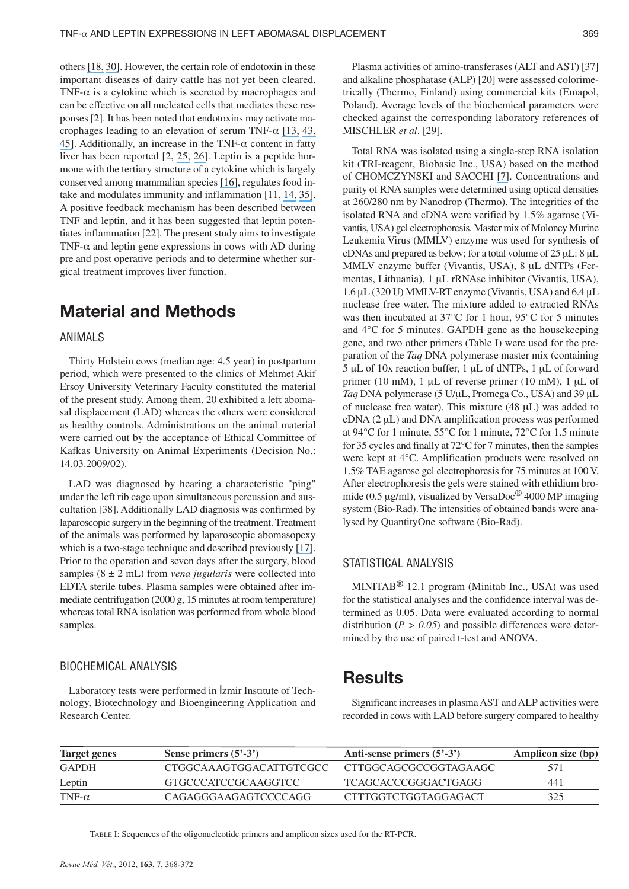others [\[18,](https://www.researchgate.net/publication/11454031_Toll-like_receptors_as_adjuvant_receptors?el=1_x_8&enrichId=rgreq-189000823bfea67570bd19b9cdc6039c-XXX&enrichSource=Y292ZXJQYWdlOzI5ODQ1MDU4OTtBUzo0NDE3ODMwMjU5NjcxMDVAMTQ4MjM0MDY4OTcwNQ==) [30\]](https://www.researchgate.net/publication/12128393_Toll_like_receptor_family_TLT_and_signalling_pathway?el=1_x_8&enrichId=rgreq-189000823bfea67570bd19b9cdc6039c-XXX&enrichSource=Y292ZXJQYWdlOzI5ODQ1MDU4OTtBUzo0NDE3ODMwMjU5NjcxMDVAMTQ4MjM0MDY4OTcwNQ==). However, the certain role of endotoxin in these important diseases of dairy cattle has not yet been cleared. TNF- $\alpha$  is a cytokine which is secreted by macrophages and can be effective on all nucleated cells that mediates these responses [2]. It has been noted that endotoxins may activate macrophages leading to an elevation of serum TNF- $\alpha$  [\[13,](https://www.researchgate.net/publication/7424780_Relation_of_Endotoxin_Endotoxin_Binding_Proteins_and_Macrophages_to_Severe_Alcoholic_Liver_Injury_and_Multiple_Organ_Failure?el=1_x_8&enrichId=rgreq-189000823bfea67570bd19b9cdc6039c-XXX&enrichSource=Y292ZXJQYWdlOzI5ODQ1MDU4OTtBUzo0NDE3ODMwMjU5NjcxMDVAMTQ4MjM0MDY4OTcwNQ==) [43,](https://www.researchgate.net/publication/14319813_TNF-a_and_endotoxin_serum_levels_in_cancer_patients_undergoing_intraperitoneal_hyperthermic_perfusion?el=1_x_8&enrichId=rgreq-189000823bfea67570bd19b9cdc6039c-XXX&enrichSource=Y292ZXJQYWdlOzI5ODQ1MDU4OTtBUzo0NDE3ODMwMjU5NjcxMDVAMTQ4MjM0MDY4OTcwNQ==) [45\]](https://www.researchgate.net/publication/20370293_Hematologic_Interactions_of_Endotoxin_Tumor_Necrosis_Factor_Alpha_TNFa_Interleukin_1_and_Adrenal_Hormones_and_the_Hematologic_Effects_of_TNFa_in_Corynebacterium_parvum-_Primed_Rats?el=1_x_8&enrichId=rgreq-189000823bfea67570bd19b9cdc6039c-XXX&enrichSource=Y292ZXJQYWdlOzI5ODQ1MDU4OTtBUzo0NDE3ODMwMjU5NjcxMDVAMTQ4MjM0MDY4OTcwNQ==). Additionally, an increase in the TNF- $\alpha$  content in fatty liver has been reported [2, [25,](https://www.researchgate.net/publication/22397921_A_study_of_the_role_of_genetic_factors_in_the_etiology_of_left_abomasal_displacement?el=1_x_8&enrichId=rgreq-189000823bfea67570bd19b9cdc6039c-XXX&enrichSource=Y292ZXJQYWdlOzI5ODQ1MDU4OTtBUzo0NDE3ODMwMjU5NjcxMDVAMTQ4MjM0MDY4OTcwNQ==) [26\]](https://www.researchgate.net/publication/10599878_Effect_of_calcium-energy_supplements_on_calving-related_disorders_fertility_and_milk_yield_during_the_transition_period_in_cows_fed_anionic_diets?el=1_x_8&enrichId=rgreq-189000823bfea67570bd19b9cdc6039c-XXX&enrichSource=Y292ZXJQYWdlOzI5ODQ1MDU4OTtBUzo0NDE3ODMwMjU5NjcxMDVAMTQ4MjM0MDY4OTcwNQ==). Leptin is a peptide hormone with the tertiary structure of a cytokine which is largely conserved among mammalian species [\[16\]](https://www.researchgate.net/publication/14578365_Endotoxin_and_Cytokines_Induce_Expression_of_Leptin_the_ob_Gene_Product_in_Hamsters?el=1_x_8&enrichId=rgreq-189000823bfea67570bd19b9cdc6039c-XXX&enrichSource=Y292ZXJQYWdlOzI5ODQ1MDU4OTtBUzo0NDE3ODMwMjU5NjcxMDVAMTQ4MjM0MDY4OTcwNQ==), regulates food intake and modulates immunity and inflammation [11, [14,](https://www.researchgate.net/publication/10797693_Evolutionary_Structural_and_Biochemical_Evidence_for_a_New_Interaction_Site_of_the_Leptin_Obesity_Protein?el=1_x_8&enrichId=rgreq-189000823bfea67570bd19b9cdc6039c-XXX&enrichSource=Y292ZXJQYWdlOzI5ODQ1MDU4OTtBUzo0NDE3ODMwMjU5NjcxMDVAMTQ4MjM0MDY4OTcwNQ==) [35\]](https://www.researchgate.net/publication/8002923_Markers_of_inflammation_are_negatively_correlated_with_serum_leptin_in_rheumatoid_arthritis?el=1_x_8&enrichId=rgreq-189000823bfea67570bd19b9cdc6039c-XXX&enrichSource=Y292ZXJQYWdlOzI5ODQ1MDU4OTtBUzo0NDE3ODMwMjU5NjcxMDVAMTQ4MjM0MDY4OTcwNQ==). A positive feedback mechanism has been described between TNF and leptin, and it has been suggested that leptin potentiates inflammation [22]. The present study aims to investigate TNF- $\alpha$  and leptin gene expressions in cows with AD during pre and post operative periods and to determine whether surgical treatment improves liver function.

# **Material and Methods**

#### ANIMALS

Thirty Holstein cows (median age: 4.5 year) in postpartum period, which were presented to the clinics of Mehmet Akif Ersoy University Veterinary Faculty constituted the material of the present study. Among them, 20 exhibited a left abomasal displacement (LAD) whereas the others were considered as healthy controls. Administrations on the animal material were carried out by the acceptance of Ethical Committee of Kafkas University on Animal Experiments (Decision No.: 14.03.2009/02).

LAD was diagnosed by hearing a characteristic "ping" under the left rib cage upon simultaneous percussion and auscultation [38]. Additionally LAD diagnosis was confirmed by laparoscopic surgery in the beginning of the treatment. Treatment of the animals was performed by laparoscopic abomasopexy which is a two-stage technique and described previously [\[17\]](https://www.researchgate.net/publication/13431197_Laparoscopic_reposition_and_fixation_of_the_left_displaced_abomasum_in_cattle?el=1_x_8&enrichId=rgreq-189000823bfea67570bd19b9cdc6039c-XXX&enrichSource=Y292ZXJQYWdlOzI5ODQ1MDU4OTtBUzo0NDE3ODMwMjU5NjcxMDVAMTQ4MjM0MDY4OTcwNQ==). Prior to the operation and seven days after the surgery, blood samples (8 ± 2 mL) from *vena jugularis* were collected into EDTA sterile tubes. Plasma samples were obtained after immediate centrifugation (2000 g, 15 minutes at room temperature) whereas total RNA isolation was performed from whole blood samples.

#### BIOCHEMICAL ANALYSIS

Laboratory tests were performed in İzmir Instıtute of Technology, Biotechnology and Bioengineering Application and Research Center.

Plasma activities of amino-transferases (ALT and AST) [37] and alkaline phosphatase (ALP) [20] were assessed colorimetrically (Thermo, Finland) using commercial kits (Emapol, Poland). Average levels of the biochemical parameters were checked against the corresponding laboratory references of MISCHLER *et al*. [29].

Total RNA was isolated using a single-step RNA isolation kit (TRI-reagent, Biobasic Inc., USA) based on the method of CHOMCZYNSKI and SACCHI [\[7\]](https://www.researchgate.net/publication/20716449_Single-Step_Method_Of_RNA_Isolation_By_Acid_Guanidinium_Thiocyanate-Phenol-Chlorform_Extraction?el=1_x_8&enrichId=rgreq-189000823bfea67570bd19b9cdc6039c-XXX&enrichSource=Y292ZXJQYWdlOzI5ODQ1MDU4OTtBUzo0NDE3ODMwMjU5NjcxMDVAMTQ4MjM0MDY4OTcwNQ==). Concentrations and purity of RNA samples were determined using optical densities at 260/280 nm by Nanodrop (Thermo). The integrities of the isolated RNA and cDNA were verified by 1.5% agarose (Vivantis, USA) gel electrophoresis. Master mix of Moloney Murine Leukemia Virus (MMLV) enzyme was used for synthesis of cDNAs and prepared as below; for a total volume of 25 μL: 8 μL MMLV enzyme buffer (Vivantis, USA), 8 μL dNTPs (Fermentas, Lithuania), 1 μL rRNAse inhibitor (Vivantis, USA), 1.6 μL (320 U) MMLV-RT enzyme (Vivantis, USA) and 6.4 μL nuclease free water. The mixture added to extracted RNAs was then incubated at 37°C for 1 hour, 95°C for 5 minutes and 4°C for 5 minutes. GAPDH gene as the housekeeping gene, and two other primers (Table I) were used for the preparation of the *Taq* DNA polymerase master mix (containing 5 μL of 10x reaction buffer, 1 μL of dNTPs, 1 μL of forward primer (10 mM), 1 μL of reverse primer (10 mM), 1 μL of *Taq* DNA polymerase (5 U/μL, Promega Co., USA) and 39 μL of nuclease free water). This mixture (48 μL) was added to cDNA (2 μL) and DNA amplification process was performed at 94°C for 1 minute, 55°C for 1 minute, 72°C for 1.5 minute for 35 cycles and finally at 72°C for 7 minutes, then the samples were kept at 4°C. Amplification products were resolved on 1.5% TAE agarose gel electrophoresis for 75 minutes at 100 V. After electrophoresis the gels were stained with ethidium bromide (0.5  $\mu$ g/ml), visualized by VersaDoc<sup>®</sup> 4000 MP imaging system (Bio-Rad). The intensities of obtained bands were analysed by QuantityOne software (Bio-Rad).

#### STATISTICAL ANALYSIS

MINITAB® 12.1 program (Minitab Inc., USA) was used for the statistical analyses and the confidence interval was determined as 0.05. Data were evaluated according to normal distribution ( $P > 0.05$ ) and possible differences were determined by the use of paired t-test and ANOVA.

### **Results**

Significant increases in plasma AST and ALP activities were recorded in cows with LAD before surgery compared to healthy

| <b>Target genes</b> | Sense primers $(5^3-3^3)$ | Anti-sense primers $(5^2-3^2)$ | Amplicon size (bp) |
|---------------------|---------------------------|--------------------------------|--------------------|
| <b>GAPDH</b>        | CTGGCAAAGTGGACATTGTCGCC   | CTTGGCAGCGCCGGTAGAAGC          |                    |
| Leptin              | GTGCCCATCCGCAAGGTCC       | TCAGCACCCGGGACTGAGG            | 441                |
| TNF- $\alpha$       | CAGAGGGA AGAGTCCCCAGG     | <b>CTTTGGTCTGGTAGGAGACT</b>    | 325                |

TABLE I: Sequences of the oligonucleotide primers and amplicon sizes used for the RT-PCR.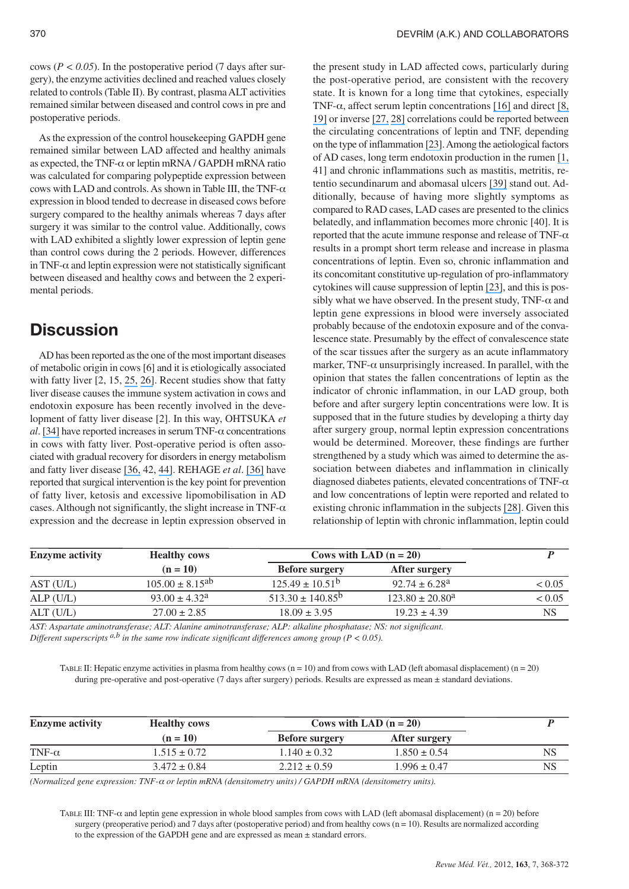cows ( $P < 0.05$ ). In the postoperative period (7 days after surgery), the enzyme activities declined and reached values closely related to controls (Table II). By contrast, plasma ALT activities remained similar between diseased and control cows in pre and postoperative periods.

As the expression of the control housekeeping GAPDH gene remained similar between LAD affected and healthy animals as expected, the TNF- $\alpha$  or leptin mRNA / GAPDH mRNA ratio was calculated for comparing polypeptide expression between cows with LAD and controls. As shown in Table III, the TNF- $\alpha$ expression in blood tended to decrease in diseased cows before surgery compared to the healthy animals whereas 7 days after surgery it was similar to the control value. Additionally, cows with LAD exhibited a slightly lower expression of leptin gene than control cows during the 2 periods. However, differences in TNF- $\alpha$  and leptin expression were not statistically significant between diseased and healthy cows and between the 2 experimental periods.

## **Discussion**

AD has been reported as the one of the most important diseases of metabolic origin in cows [6] and it is etiologically associated with fatty liver [2, 15, [25,](https://www.researchgate.net/publication/22397921_A_study_of_the_role_of_genetic_factors_in_the_etiology_of_left_abomasal_displacement?el=1_x_8&enrichId=rgreq-189000823bfea67570bd19b9cdc6039c-XXX&enrichSource=Y292ZXJQYWdlOzI5ODQ1MDU4OTtBUzo0NDE3ODMwMjU5NjcxMDVAMTQ4MjM0MDY4OTcwNQ==) [26\]](https://www.researchgate.net/publication/10599878_Effect_of_calcium-energy_supplements_on_calving-related_disorders_fertility_and_milk_yield_during_the_transition_period_in_cows_fed_anionic_diets?el=1_x_8&enrichId=rgreq-189000823bfea67570bd19b9cdc6039c-XXX&enrichSource=Y292ZXJQYWdlOzI5ODQ1MDU4OTtBUzo0NDE3ODMwMjU5NjcxMDVAMTQ4MjM0MDY4OTcwNQ==). Recent studies show that fatty liver disease causes the immune system activation in cows and endotoxin exposure has been recently involved in the development of fatty liver disease [2]. In this way, OHTSUKA *et al*. [\[34\]](https://www.researchgate.net/publication/11709842_Relationship_between_Serum_TNF_Activity_and_Insulin_Resistance_in_Dairy_Cows_Affected_with_Naturally_Occurring_Fatty_Liver?el=1_x_8&enrichId=rgreq-189000823bfea67570bd19b9cdc6039c-XXX&enrichSource=Y292ZXJQYWdlOzI5ODQ1MDU4OTtBUzo0NDE3ODMwMjU5NjcxMDVAMTQ4MjM0MDY4OTcwNQ==) have reported increases in serum TNF- $\alpha$  concentrations in cows with fatty liver. Post-operative period is often associated with gradual recovery for disorders in energy metabolism and fatty liver disease [\[36,](https://www.researchgate.net/publication/14435363_Post_surgical_convalescence_of_dairy_cows_with_left_abomasal_displacement_in_relation_to_fatty_liver?el=1_x_8&enrichId=rgreq-189000823bfea67570bd19b9cdc6039c-XXX&enrichSource=Y292ZXJQYWdlOzI5ODQ1MDU4OTtBUzo0NDE3ODMwMjU5NjcxMDVAMTQ4MjM0MDY4OTcwNQ==) 42, [44\]](https://www.researchgate.net/publication/20954633_Surgery_of_the_Bovine_Abomasum?el=1_x_8&enrichId=rgreq-189000823bfea67570bd19b9cdc6039c-XXX&enrichSource=Y292ZXJQYWdlOzI5ODQ1MDU4OTtBUzo0NDE3ODMwMjU5NjcxMDVAMTQ4MjM0MDY4OTcwNQ==). REHAGE *et al*. [\[36\]](https://www.researchgate.net/publication/14435363_Post_surgical_convalescence_of_dairy_cows_with_left_abomasal_displacement_in_relation_to_fatty_liver?el=1_x_8&enrichId=rgreq-189000823bfea67570bd19b9cdc6039c-XXX&enrichSource=Y292ZXJQYWdlOzI5ODQ1MDU4OTtBUzo0NDE3ODMwMjU5NjcxMDVAMTQ4MjM0MDY4OTcwNQ==) have reported that surgical intervention is the key point for prevention of fatty liver, ketosis and excessive lipomobilisation in AD cases. Although not significantly, the slight increase in TNF- $\alpha$ expression and the decrease in leptin expression observed in

the present study in LAD affected cows, particularly during the post-operative period, are consistent with the recovery state. It is known for a long time that cytokines, especially TNF- $\alpha$ , affect serum leptin concentrations [\[16\]](https://www.researchgate.net/publication/14578365_Endotoxin_and_Cytokines_Induce_Expression_of_Leptin_the_ob_Gene_Product_in_Hamsters?el=1_x_8&enrichId=rgreq-189000823bfea67570bd19b9cdc6039c-XXX&enrichSource=Y292ZXJQYWdlOzI5ODQ1MDU4OTtBUzo0NDE3ODMwMjU5NjcxMDVAMTQ4MjM0MDY4OTcwNQ==) and direct [\[8,](https://www.researchgate.net/publication/12957679_Relationship_between_plasma_leptin_levels_and_the_tumor_necrosis_factor-_system_in_obese_subjects?el=1_x_8&enrichId=rgreq-189000823bfea67570bd19b9cdc6039c-XXX&enrichSource=Y292ZXJQYWdlOzI5ODQ1MDU4OTtBUzo0NDE3ODMwMjU5NjcxMDVAMTQ4MjM0MDY4OTcwNQ==) [19\]](https://www.researchgate.net/publication/45098003_Leptin_potentiates_prevotella_intermedia_Lipopolysaccharide-induced_production_of_TNF-a_In_monocyte-derived_macrophages?el=1_x_8&enrichId=rgreq-189000823bfea67570bd19b9cdc6039c-XXX&enrichSource=Y292ZXJQYWdlOzI5ODQ1MDU4OTtBUzo0NDE3ODMwMjU5NjcxMDVAMTQ4MjM0MDY4OTcwNQ==) or inverse [\[27,](https://www.researchgate.net/publication/6388016_Leptin_correlates_with_distribution_of_fatty_tissue_and_plasma_levels_of_insulin_testosterone_and_tumor_necrosis_factor_alpha_in_perimenopausal_women_with_increased_testosterone_level_and_central_loca?el=1_x_8&enrichId=rgreq-189000823bfea67570bd19b9cdc6039c-XXX&enrichSource=Y292ZXJQYWdlOzI5ODQ1MDU4OTtBUzo0NDE3ODMwMjU5NjcxMDVAMTQ4MjM0MDY4OTcwNQ==) [28\]](https://www.researchgate.net/publication/51755005_Type_2-diabetes_is_associated_with_elevated_levels_of_TNF-alpha_IL-6_and_adiponectin_and_low_levels_of_leptin_in_a_population_of_Mexican_Americans_A_cross-sectional_study?el=1_x_8&enrichId=rgreq-189000823bfea67570bd19b9cdc6039c-XXX&enrichSource=Y292ZXJQYWdlOzI5ODQ1MDU4OTtBUzo0NDE3ODMwMjU5NjcxMDVAMTQ4MjM0MDY4OTcwNQ==) correlations could be reported between the circulating concentrations of leptin and TNF, depending on the type of inflammation [\[23\]](https://www.researchgate.net/publication/275838859_Leptin_Concentrations_in_Relation_to_Body_Mass_Index_and_the_Tumor_Necrosis_Factor-_System_in_Humans?el=1_x_8&enrichId=rgreq-189000823bfea67570bd19b9cdc6039c-XXX&enrichSource=Y292ZXJQYWdlOzI5ODQ1MDU4OTtBUzo0NDE3ODMwMjU5NjcxMDVAMTQ4MjM0MDY4OTcwNQ==). Among the aetiological factors of AD cases, long term endotoxin production in the rumen [\[1,](https://www.researchgate.net/publication/21652716_The_role_of_endotoxins_in_induced_ruminal_acidosis_in_calves?el=1_x_8&enrichId=rgreq-189000823bfea67570bd19b9cdc6039c-XXX&enrichSource=Y292ZXJQYWdlOzI5ODQ1MDU4OTtBUzo0NDE3ODMwMjU5NjcxMDVAMTQ4MjM0MDY4OTcwNQ==) 41] and chronic inflammations such as mastitis, metritis, retentio secundinarum and abomasal ulcers [\[39\]](https://www.researchgate.net/publication/12936081_Risk_factors_for_abomasal_displacement_in_dairy_cows?el=1_x_8&enrichId=rgreq-189000823bfea67570bd19b9cdc6039c-XXX&enrichSource=Y292ZXJQYWdlOzI5ODQ1MDU4OTtBUzo0NDE3ODMwMjU5NjcxMDVAMTQ4MjM0MDY4OTcwNQ==) stand out. Additionally, because of having more slightly symptoms as compared to RAD cases, LAD cases are presented to the clinics belatedly, and inflammation becomes more chronic [40]. It is reported that the acute immune response and release of TNF- $\alpha$ results in a prompt short term release and increase in plasma concentrations of leptin. Even so, chronic inflammation and its concomitant constitutive up-regulation of pro-inflammatory cytokines will cause suppression of leptin [\[23\]](https://www.researchgate.net/publication/275838859_Leptin_Concentrations_in_Relation_to_Body_Mass_Index_and_the_Tumor_Necrosis_Factor-_System_in_Humans?el=1_x_8&enrichId=rgreq-189000823bfea67570bd19b9cdc6039c-XXX&enrichSource=Y292ZXJQYWdlOzI5ODQ1MDU4OTtBUzo0NDE3ODMwMjU5NjcxMDVAMTQ4MjM0MDY4OTcwNQ==), and this is possibly what we have observed. In the present study, TNF- $\alpha$  and leptin gene expressions in blood were inversely associated probably because of the endotoxin exposure and of the convalescence state. Presumably by the effect of convalescence state of the scar tissues after the surgery as an acute inflammatory marker, TNF- $\alpha$  unsurprisingly increased. In parallel, with the opinion that states the fallen concentrations of leptin as the indicator of chronic inflammation, in our LAD group, both before and after surgery leptin concentrations were low. It is supposed that in the future studies by developing a thirty day after surgery group, normal leptin expression concentrations would be determined. Moreover, these findings are further strengthened by a study which was aimed to determine the association between diabetes and inflammation in clinically diagnosed diabetes patients, elevated concentrations of TNF- $\alpha$ and low concentrations of leptin were reported and related to existing chronic inflammation in the subjects [\[28\]](https://www.researchgate.net/publication/51755005_Type_2-diabetes_is_associated_with_elevated_levels_of_TNF-alpha_IL-6_and_adiponectin_and_low_levels_of_leptin_in_a_population_of_Mexican_Americans_A_cross-sectional_study?el=1_x_8&enrichId=rgreq-189000823bfea67570bd19b9cdc6039c-XXX&enrichSource=Y292ZXJQYWdlOzI5ODQ1MDU4OTtBUzo0NDE3ODMwMjU5NjcxMDVAMTQ4MjM0MDY4OTcwNQ==). Given this relationship of leptin with chronic inflammation, leptin could

| <b>Enzyme activity</b> | <b>Healthy cows</b>      | Cows with LAD $(n = 20)$    |                          |           |
|------------------------|--------------------------|-----------------------------|--------------------------|-----------|
|                        | $(n = 10)$               | <b>Before surgery</b>       | After surgery            |           |
| AST (U/L)              | $105.00 \pm 8.15^{ab}$   | $125.49 \pm 10.51^b$        | $92.74 \pm 6.28^{\circ}$ | < 0.05    |
| ALP(U/L)               | $93.00 \pm 4.32^{\circ}$ | $513.30 \pm 140.85^{\circ}$ | $123.80 \pm 20.80^a$     | < 0.05    |
| ALT (U/L)              | $27.00 \pm 2.85$         | $18.09 \pm 3.95$            | $19.23 \pm 4.39$         | <b>NS</b> |

*AST: Aspartate aminotransferase; ALT: Alanine aminotransferase; ALP: alkaline phosphatase; NS: not significant.*

*Different superscripts*  $a$ , *b in the same row indicate significant differences among group (P < 0.05).* 

TABLE II: Hepatic enzyme activities in plasma from healthy cows  $(n = 10)$  and from cows with LAD (left abomasal displacement)  $(n = 20)$ during pre-operative and post-operative (7 days after surgery) periods. Results are expressed as mean  $\pm$  standard deviations.

| <b>Enzyme activity</b> | <b>Healthy cows</b> | Cows with LAD $(n = 20)$ |                  |    |
|------------------------|---------------------|--------------------------|------------------|----|
|                        | $(n = 10)$          | <b>Before surgery</b>    | After surgery    |    |
| TNF- $\alpha$          | $1.515 \pm 0.72$    | $1.140 \pm 0.32$         | $1.850 \pm 0.54$ | NS |
| Leptin                 | $3.472 \pm 0.84$    | $2.212 \pm 0.59$         | $1.996 \pm 0.47$ | NS |

*(Normalized gene expression: TNF-*<sup>α</sup> *or leptin mRNA (densitometry units) / GAPDH mRNA (densitometry units).*

TABLE III: TNF- $\alpha$  and leptin gene expression in whole blood samples from cows with LAD (left abomasal displacement) (n = 20) before surgery (preoperative period) and 7 days after (postoperative period) and from healthy cows (n = 10). Results are normalized according to the expression of the GAPDH gene and are expressed as mean ± standard errors.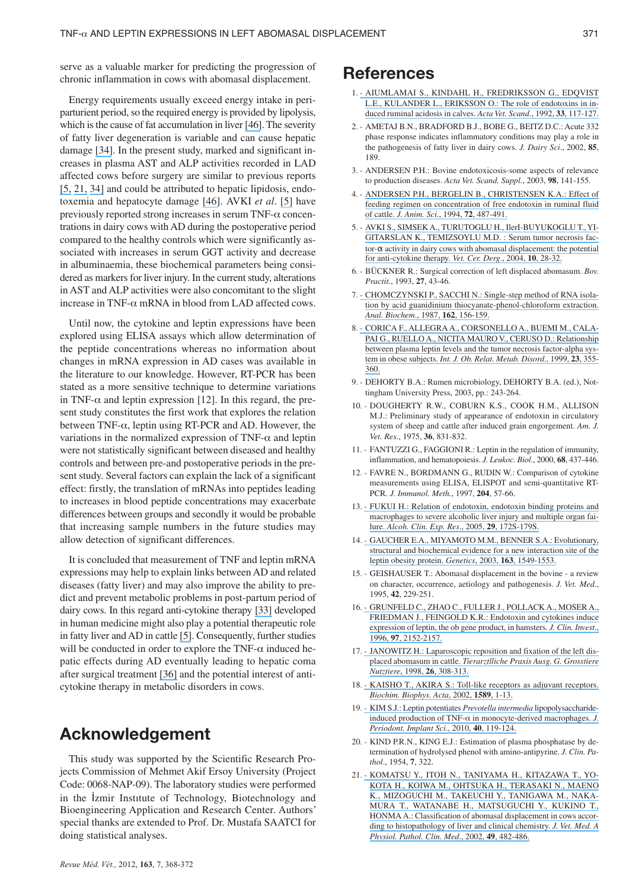serve as a valuable marker for predicting the progression of chronic inflammation in cows with abomasal displacement.

Energy requirements usually exceed energy intake in periparturient period, so the required energy is provided by lipolysis, which is the cause of fat accumulation in liver [\[46\]](https://www.researchgate.net/publication/47740158_Comparative_study_of_the_hemato-biochemical_parameters_between_clinically_healthy_cows_and_cows_with_displacement_of_the_abomasum?el=1_x_8&enrichId=rgreq-189000823bfea67570bd19b9cdc6039c-XXX&enrichSource=Y292ZXJQYWdlOzI5ODQ1MDU4OTtBUzo0NDE3ODMwMjU5NjcxMDVAMTQ4MjM0MDY4OTcwNQ==). The severity of fatty liver degeneration is variable and can cause hepatic damage [\[34\]](https://www.researchgate.net/publication/11709842_Relationship_between_Serum_TNF_Activity_and_Insulin_Resistance_in_Dairy_Cows_Affected_with_Naturally_Occurring_Fatty_Liver?el=1_x_8&enrichId=rgreq-189000823bfea67570bd19b9cdc6039c-XXX&enrichSource=Y292ZXJQYWdlOzI5ODQ1MDU4OTtBUzo0NDE3ODMwMjU5NjcxMDVAMTQ4MjM0MDY4OTcwNQ==). In the present study, marked and significant increases in plasma AST and ALP activities recorded in LAD affected cows before surgery are similar to previous reports [\[5,](https://www.researchgate.net/publication/288920558_Serum_tumor_necrosis_factor-alpha_activity_in_dairy_cows_with_abomasal_displacement_The_potential_for_anti-cytokine_therapy?el=1_x_8&enrichId=rgreq-189000823bfea67570bd19b9cdc6039c-XXX&enrichSource=Y292ZXJQYWdlOzI5ODQ1MDU4OTtBUzo0NDE3ODMwMjU5NjcxMDVAMTQ4MjM0MDY4OTcwNQ==) [21,](https://www.researchgate.net/publication/10983955_Classification_of_abomasal_displacement_in_cows_according_to_histopathology_of_the_liver_and_clinical_chemistry?el=1_x_8&enrichId=rgreq-189000823bfea67570bd19b9cdc6039c-XXX&enrichSource=Y292ZXJQYWdlOzI5ODQ1MDU4OTtBUzo0NDE3ODMwMjU5NjcxMDVAMTQ4MjM0MDY4OTcwNQ==) [34\]](https://www.researchgate.net/publication/11709842_Relationship_between_Serum_TNF_Activity_and_Insulin_Resistance_in_Dairy_Cows_Affected_with_Naturally_Occurring_Fatty_Liver?el=1_x_8&enrichId=rgreq-189000823bfea67570bd19b9cdc6039c-XXX&enrichSource=Y292ZXJQYWdlOzI5ODQ1MDU4OTtBUzo0NDE3ODMwMjU5NjcxMDVAMTQ4MjM0MDY4OTcwNQ==) and could be attributed to hepatic lipidosis, endotoxemia and hepatocyte damage [\[46\]](https://www.researchgate.net/publication/47740158_Comparative_study_of_the_hemato-biochemical_parameters_between_clinically_healthy_cows_and_cows_with_displacement_of_the_abomasum?el=1_x_8&enrichId=rgreq-189000823bfea67570bd19b9cdc6039c-XXX&enrichSource=Y292ZXJQYWdlOzI5ODQ1MDU4OTtBUzo0NDE3ODMwMjU5NjcxMDVAMTQ4MjM0MDY4OTcwNQ==). AVKI *et al*. [\[5\]](https://www.researchgate.net/publication/288920558_Serum_tumor_necrosis_factor-alpha_activity_in_dairy_cows_with_abomasal_displacement_The_potential_for_anti-cytokine_therapy?el=1_x_8&enrichId=rgreq-189000823bfea67570bd19b9cdc6039c-XXX&enrichSource=Y292ZXJQYWdlOzI5ODQ1MDU4OTtBUzo0NDE3ODMwMjU5NjcxMDVAMTQ4MjM0MDY4OTcwNQ==) have previously reported strong increases in serum TNF- $\alpha$  concentrations in dairy cows with AD during the postoperative period compared to the healthy controls which were significantly associated with increases in serum GGT activity and decrease in albuminaemia, these biochemical parameters being considered as markers for liver injury. In the current study, alterations in AST and ALP activities were also concomitant to the slight increase in TNF- $\alpha$  mRNA in blood from LAD affected cows.

Until now, the cytokine and leptin expressions have been explored using ELISA assays which allow determination of the peptide concentrations whereas no information about changes in mRNA expression in AD cases was available in the literature to our knowledge. However, RT-PCR has been stated as a more sensitive technique to determine variations in TNF- $\alpha$  and leptin expression [12]. In this regard, the present study constitutes the first work that explores the relation between TNF- $\alpha$ , leptin using RT-PCR and AD. However, the variations in the normalized expression of TNF- $\alpha$  and leptin were not statistically significant between diseased and healthy controls and between pre-and postoperative periods in the present study. Several factors can explain the lack of a significant effect: firstly, the translation of mRNAs into peptides leading to increases in blood peptide concentrations may exacerbate differences between groups and secondly it would be probable that increasing sample numbers in the future studies may allow detection of significant differences.

It is concluded that measurement of TNF and leptin mRNA expressions may help to explain links between AD and related diseases (fatty liver) and may also improve the ability to predict and prevent metabolic problems in post-partum period of dairy cows. In this regard anti-cytokine therapy [\[33\]](https://www.researchgate.net/publication/13368148_Anticytokine_Therapy_-_A_New_Era_in_the_Treatment_of_Rheumatoid_Arthritis?el=1_x_8&enrichId=rgreq-189000823bfea67570bd19b9cdc6039c-XXX&enrichSource=Y292ZXJQYWdlOzI5ODQ1MDU4OTtBUzo0NDE3ODMwMjU5NjcxMDVAMTQ4MjM0MDY4OTcwNQ==) developed in human medicine might also play a potential therapeutic role in fatty liver and AD in cattle [\[5\]](https://www.researchgate.net/publication/288920558_Serum_tumor_necrosis_factor-alpha_activity_in_dairy_cows_with_abomasal_displacement_The_potential_for_anti-cytokine_therapy?el=1_x_8&enrichId=rgreq-189000823bfea67570bd19b9cdc6039c-XXX&enrichSource=Y292ZXJQYWdlOzI5ODQ1MDU4OTtBUzo0NDE3ODMwMjU5NjcxMDVAMTQ4MjM0MDY4OTcwNQ==). Consequently, further studies will be conducted in order to explore the TNF- $\alpha$  induced hepatic effects during AD eventually leading to hepatic coma after surgical treatment [\[36\]](https://www.researchgate.net/publication/14435363_Post_surgical_convalescence_of_dairy_cows_with_left_abomasal_displacement_in_relation_to_fatty_liver?el=1_x_8&enrichId=rgreq-189000823bfea67570bd19b9cdc6039c-XXX&enrichSource=Y292ZXJQYWdlOzI5ODQ1MDU4OTtBUzo0NDE3ODMwMjU5NjcxMDVAMTQ4MjM0MDY4OTcwNQ==) and the potential interest of anticytokine therapy in metabolic disorders in cows.

## **Acknowledgement**

This study was supported by the Scientific Research Projects Commission of Mehmet Akif Ersoy University (Project Code: 0068-NAP-09). The laboratory studies were performed in the İzmir Instıtute of Technology, Biotechnology and Bioengineering Application and Research Center. Authors' special thanks are extended to Prof. Dr. Mustafa SAATCI for doing statistical analyses.

## **References**

- 1. [AIUMLAMAI S., KINDAHL H., FREDRIKSSON G., EDQVIST](https://www.researchgate.net/publication/21652716_The_role_of_endotoxins_in_induced_ruminal_acidosis_in_calves?el=1_x_8&enrichId=rgreq-189000823bfea67570bd19b9cdc6039c-XXX&enrichSource=Y292ZXJQYWdlOzI5ODQ1MDU4OTtBUzo0NDE3ODMwMjU5NjcxMDVAMTQ4MjM0MDY4OTcwNQ==) [L.E., KULANDER L., ERIKSSON O.: The role of endotoxins in in](https://www.researchgate.net/publication/21652716_The_role_of_endotoxins_in_induced_ruminal_acidosis_in_calves?el=1_x_8&enrichId=rgreq-189000823bfea67570bd19b9cdc6039c-XXX&enrichSource=Y292ZXJQYWdlOzI5ODQ1MDU4OTtBUzo0NDE3ODMwMjU5NjcxMDVAMTQ4MjM0MDY4OTcwNQ==)[duced ruminal acidosis in calves.](https://www.researchgate.net/publication/21652716_The_role_of_endotoxins_in_induced_ruminal_acidosis_in_calves?el=1_x_8&enrichId=rgreq-189000823bfea67570bd19b9cdc6039c-XXX&enrichSource=Y292ZXJQYWdlOzI5ODQ1MDU4OTtBUzo0NDE3ODMwMjU5NjcxMDVAMTQ4MjM0MDY4OTcwNQ==) *Acta Vet. Scand*., 1992, **33**, 117-127.
- 2. AMETAJ B.N., BRADFORD B.J., BOBE G., BEITZ D.C.: Acute 332 phase response indicates inflammatory conditions may play a role in the pathogenesis of fatty liver in dairy cows. *J. Dairy Sci*., 2002, **85**, 189.
- 3. ANDERSEN P.H.: Bovine endotoxicosis-some aspects of relevance to production diseases. *Acta Vet. Scand. Suppl.*, 2003, **98**, 141-155.
- 4. [ANDERSEN P.H., BERGELIN B., CHRISTENSEN K.A.: Effect of](https://www.researchgate.net/publication/15040792_Effect_of_feeding_regimen_on_concentration_of_free_endotoxin_in_ruminal_fluid_of_cattle?el=1_x_8&enrichId=rgreq-189000823bfea67570bd19b9cdc6039c-XXX&enrichSource=Y292ZXJQYWdlOzI5ODQ1MDU4OTtBUzo0NDE3ODMwMjU5NjcxMDVAMTQ4MjM0MDY4OTcwNQ==) [feeding regimen on concentration of free endotoxin in ruminal fluid](https://www.researchgate.net/publication/15040792_Effect_of_feeding_regimen_on_concentration_of_free_endotoxin_in_ruminal_fluid_of_cattle?el=1_x_8&enrichId=rgreq-189000823bfea67570bd19b9cdc6039c-XXX&enrichSource=Y292ZXJQYWdlOzI5ODQ1MDU4OTtBUzo0NDE3ODMwMjU5NjcxMDVAMTQ4MjM0MDY4OTcwNQ==) of cattle. *[J. Anim. Sci](https://www.researchgate.net/publication/15040792_Effect_of_feeding_regimen_on_concentration_of_free_endotoxin_in_ruminal_fluid_of_cattle?el=1_x_8&enrichId=rgreq-189000823bfea67570bd19b9cdc6039c-XXX&enrichSource=Y292ZXJQYWdlOzI5ODQ1MDU4OTtBUzo0NDE3ODMwMjU5NjcxMDVAMTQ4MjM0MDY4OTcwNQ==)*., 1994, **72**, 487-491.
- 5. [AVKI S., SIMSEK A., TURUTOGLU H., IlerI-BUYUKOGLU T., YI-](https://www.researchgate.net/publication/288920558_Serum_tumor_necrosis_factor-alpha_activity_in_dairy_cows_with_abomasal_displacement_The_potential_for_anti-cytokine_therapy?el=1_x_8&enrichId=rgreq-189000823bfea67570bd19b9cdc6039c-XXX&enrichSource=Y292ZXJQYWdlOzI5ODQ1MDU4OTtBUzo0NDE3ODMwMjU5NjcxMDVAMTQ4MjM0MDY4OTcwNQ==)[GITARSLAN K., TEMIZSOYLU M.D. : Serum tumor necrosis fac](https://www.researchgate.net/publication/288920558_Serum_tumor_necrosis_factor-alpha_activity_in_dairy_cows_with_abomasal_displacement_The_potential_for_anti-cytokine_therapy?el=1_x_8&enrichId=rgreq-189000823bfea67570bd19b9cdc6039c-XXX&enrichSource=Y292ZXJQYWdlOzI5ODQ1MDU4OTtBUzo0NDE3ODMwMjU5NjcxMDVAMTQ4MjM0MDY4OTcwNQ==)tor-α [activity in dairy cows with abomasal displacement: the potential](https://www.researchgate.net/publication/288920558_Serum_tumor_necrosis_factor-alpha_activity_in_dairy_cows_with_abomasal_displacement_The_potential_for_anti-cytokine_therapy?el=1_x_8&enrichId=rgreq-189000823bfea67570bd19b9cdc6039c-XXX&enrichSource=Y292ZXJQYWdlOzI5ODQ1MDU4OTtBUzo0NDE3ODMwMjU5NjcxMDVAMTQ4MjM0MDY4OTcwNQ==) [for anti-cytokine therapy.](https://www.researchgate.net/publication/288920558_Serum_tumor_necrosis_factor-alpha_activity_in_dairy_cows_with_abomasal_displacement_The_potential_for_anti-cytokine_therapy?el=1_x_8&enrichId=rgreq-189000823bfea67570bd19b9cdc6039c-XXX&enrichSource=Y292ZXJQYWdlOzI5ODQ1MDU4OTtBUzo0NDE3ODMwMjU5NjcxMDVAMTQ4MjM0MDY4OTcwNQ==) *Vet. Cer. Derg*., 2004, **10**, 28-32.
- 6. BÜCKNER R.: Surgical correction of left displaced abomasum. *Bov. Practit.*, 1993, **27**, 43-46.
- 7. [CHOMCZYNSKI P., SACCHI N.: Single-step method of RNA isola](https://www.researchgate.net/publication/20716449_Single-Step_Method_Of_RNA_Isolation_By_Acid_Guanidinium_Thiocyanate-Phenol-Chlorform_Extraction?el=1_x_8&enrichId=rgreq-189000823bfea67570bd19b9cdc6039c-XXX&enrichSource=Y292ZXJQYWdlOzI5ODQ1MDU4OTtBUzo0NDE3ODMwMjU5NjcxMDVAMTQ4MjM0MDY4OTcwNQ==)[tion by acid guanidinium thiocyanate-phenol-chloroform extraction.](https://www.researchgate.net/publication/20716449_Single-Step_Method_Of_RNA_Isolation_By_Acid_Guanidinium_Thiocyanate-Phenol-Chlorform_Extraction?el=1_x_8&enrichId=rgreq-189000823bfea67570bd19b9cdc6039c-XXX&enrichSource=Y292ZXJQYWdlOzI5ODQ1MDU4OTtBUzo0NDE3ODMwMjU5NjcxMDVAMTQ4MjM0MDY4OTcwNQ==) *[Anal. Biochem](https://www.researchgate.net/publication/20716449_Single-Step_Method_Of_RNA_Isolation_By_Acid_Guanidinium_Thiocyanate-Phenol-Chlorform_Extraction?el=1_x_8&enrichId=rgreq-189000823bfea67570bd19b9cdc6039c-XXX&enrichSource=Y292ZXJQYWdlOzI5ODQ1MDU4OTtBUzo0NDE3ODMwMjU5NjcxMDVAMTQ4MjM0MDY4OTcwNQ==)*., 1987, **162**, 156-159.
- 8. [CORICA F., ALLEGRA A., CORSONELLO A., BUEMI M., CALA-](https://www.researchgate.net/publication/12957679_Relationship_between_plasma_leptin_levels_and_the_tumor_necrosis_factor-_system_in_obese_subjects?el=1_x_8&enrichId=rgreq-189000823bfea67570bd19b9cdc6039c-XXX&enrichSource=Y292ZXJQYWdlOzI5ODQ1MDU4OTtBUzo0NDE3ODMwMjU5NjcxMDVAMTQ4MjM0MDY4OTcwNQ==)[PAI G., RUELLO A., NICITA MAURO V., CERUSO D.: Relationship](https://www.researchgate.net/publication/12957679_Relationship_between_plasma_leptin_levels_and_the_tumor_necrosis_factor-_system_in_obese_subjects?el=1_x_8&enrichId=rgreq-189000823bfea67570bd19b9cdc6039c-XXX&enrichSource=Y292ZXJQYWdlOzI5ODQ1MDU4OTtBUzo0NDE3ODMwMjU5NjcxMDVAMTQ4MjM0MDY4OTcwNQ==) [between plasma leptin levels and the tumor necrosis factor-alpha sys](https://www.researchgate.net/publication/12957679_Relationship_between_plasma_leptin_levels_and_the_tumor_necrosis_factor-_system_in_obese_subjects?el=1_x_8&enrichId=rgreq-189000823bfea67570bd19b9cdc6039c-XXX&enrichSource=Y292ZXJQYWdlOzI5ODQ1MDU4OTtBUzo0NDE3ODMwMjU5NjcxMDVAMTQ4MjM0MDY4OTcwNQ==)tem in obese subjects. *[Int. J. Ob. Relat. Metab. Disord](https://www.researchgate.net/publication/12957679_Relationship_between_plasma_leptin_levels_and_the_tumor_necrosis_factor-_system_in_obese_subjects?el=1_x_8&enrichId=rgreq-189000823bfea67570bd19b9cdc6039c-XXX&enrichSource=Y292ZXJQYWdlOzI5ODQ1MDU4OTtBUzo0NDE3ODMwMjU5NjcxMDVAMTQ4MjM0MDY4OTcwNQ==)*., 1999, **23**, 355- [360.](https://www.researchgate.net/publication/12957679_Relationship_between_plasma_leptin_levels_and_the_tumor_necrosis_factor-_system_in_obese_subjects?el=1_x_8&enrichId=rgreq-189000823bfea67570bd19b9cdc6039c-XXX&enrichSource=Y292ZXJQYWdlOzI5ODQ1MDU4OTtBUzo0NDE3ODMwMjU5NjcxMDVAMTQ4MjM0MDY4OTcwNQ==)
- 9. DEHORTY B.A.: Rumen microbiology, DEHORTY B.A. (ed.), Nottingham University Press, 2003, pp.: 243-264.
- 10. DOUGHERTY R.W., COBURN K.S., COOK H.M., ALLISON M.J.: Preliminary study of appearance of endotoxin in circulatory system of sheep and cattle after induced grain engorgement. *Am. J. Vet. Res.*, 1975, **36**, 831-832.
- 11. FANTUZZI G., FAGGIONI R.: Leptin in the regulation of immunity, inflammation, and hematopoiesis. *J. Leukoc. Biol*., 2000, **68**, 437-446.
- 12. FAVRE N., BORDMANN G., RUDIN W.: Comparison of cytokine measurements using ELISA, ELISPOT and semi-quantitative RT-PCR. *J. Immunol. Meth.*, 1997, **204**, 57-66.
- 13. [FUKUI H.: Relation of endotoxin, endotoxin binding proteins and](https://www.researchgate.net/publication/7424780_Relation_of_Endotoxin_Endotoxin_Binding_Proteins_and_Macrophages_to_Severe_Alcoholic_Liver_Injury_and_Multiple_Organ_Failure?el=1_x_8&enrichId=rgreq-189000823bfea67570bd19b9cdc6039c-XXX&enrichSource=Y292ZXJQYWdlOzI5ODQ1MDU4OTtBUzo0NDE3ODMwMjU5NjcxMDVAMTQ4MjM0MDY4OTcwNQ==) [macrophages to severe alcoholic liver injury and multiple organ fai](https://www.researchgate.net/publication/7424780_Relation_of_Endotoxin_Endotoxin_Binding_Proteins_and_Macrophages_to_Severe_Alcoholic_Liver_Injury_and_Multiple_Organ_Failure?el=1_x_8&enrichId=rgreq-189000823bfea67570bd19b9cdc6039c-XXX&enrichSource=Y292ZXJQYWdlOzI5ODQ1MDU4OTtBUzo0NDE3ODMwMjU5NjcxMDVAMTQ4MjM0MDY4OTcwNQ==)lure. *[Alcoh. Clin. Exp. Res](https://www.researchgate.net/publication/7424780_Relation_of_Endotoxin_Endotoxin_Binding_Proteins_and_Macrophages_to_Severe_Alcoholic_Liver_Injury_and_Multiple_Organ_Failure?el=1_x_8&enrichId=rgreq-189000823bfea67570bd19b9cdc6039c-XXX&enrichSource=Y292ZXJQYWdlOzI5ODQ1MDU4OTtBUzo0NDE3ODMwMjU5NjcxMDVAMTQ4MjM0MDY4OTcwNQ==)*., 2005, **29**, 172S-179S.
- 14. [GAUCHER E.A., MIYAMOTO M.M., BENNER S.A.: Evolutionary,](https://www.researchgate.net/publication/10797693_Evolutionary_Structural_and_Biochemical_Evidence_for_a_New_Interaction_Site_of_the_Leptin_Obesity_Protein?el=1_x_8&enrichId=rgreq-189000823bfea67570bd19b9cdc6039c-XXX&enrichSource=Y292ZXJQYWdlOzI5ODQ1MDU4OTtBUzo0NDE3ODMwMjU5NjcxMDVAMTQ4MjM0MDY4OTcwNQ==) [structural and biochemical evidence for a new interaction site of the](https://www.researchgate.net/publication/10797693_Evolutionary_Structural_and_Biochemical_Evidence_for_a_New_Interaction_Site_of_the_Leptin_Obesity_Protein?el=1_x_8&enrichId=rgreq-189000823bfea67570bd19b9cdc6039c-XXX&enrichSource=Y292ZXJQYWdlOzI5ODQ1MDU4OTtBUzo0NDE3ODMwMjU5NjcxMDVAMTQ4MjM0MDY4OTcwNQ==) [leptin obesity protein.](https://www.researchgate.net/publication/10797693_Evolutionary_Structural_and_Biochemical_Evidence_for_a_New_Interaction_Site_of_the_Leptin_Obesity_Protein?el=1_x_8&enrichId=rgreq-189000823bfea67570bd19b9cdc6039c-XXX&enrichSource=Y292ZXJQYWdlOzI5ODQ1MDU4OTtBUzo0NDE3ODMwMjU5NjcxMDVAMTQ4MjM0MDY4OTcwNQ==) *Genetics*, 2003, **163**, 1549-1553.
- 15. GEISHAUSER T.: Abomasal displacement in the bovine a review on character, occurrence, aetiology and pathogenesis. *J. Vet. Med*., 1995, **42**, 229-251.
- 16. [GRUNFELD C., ZHAO C., FULLER J., POLLACK A., MOSER A.,](https://www.researchgate.net/publication/14578365_Endotoxin_and_Cytokines_Induce_Expression_of_Leptin_the_ob_Gene_Product_in_Hamsters?el=1_x_8&enrichId=rgreq-189000823bfea67570bd19b9cdc6039c-XXX&enrichSource=Y292ZXJQYWdlOzI5ODQ1MDU4OTtBUzo0NDE3ODMwMjU5NjcxMDVAMTQ4MjM0MDY4OTcwNQ==) [FRIEDMAN J., FEINGOLD K.R.: Endotoxin and cytokines induce](https://www.researchgate.net/publication/14578365_Endotoxin_and_Cytokines_Induce_Expression_of_Leptin_the_ob_Gene_Product_in_Hamsters?el=1_x_8&enrichId=rgreq-189000823bfea67570bd19b9cdc6039c-XXX&enrichSource=Y292ZXJQYWdlOzI5ODQ1MDU4OTtBUzo0NDE3ODMwMjU5NjcxMDVAMTQ4MjM0MDY4OTcwNQ==) [expression of leptin, the ob gene product, in hamsters.](https://www.researchgate.net/publication/14578365_Endotoxin_and_Cytokines_Induce_Expression_of_Leptin_the_ob_Gene_Product_in_Hamsters?el=1_x_8&enrichId=rgreq-189000823bfea67570bd19b9cdc6039c-XXX&enrichSource=Y292ZXJQYWdlOzI5ODQ1MDU4OTtBUzo0NDE3ODMwMjU5NjcxMDVAMTQ4MjM0MDY4OTcwNQ==) *J. Clin. Invest*., 1996, **97**[, 2152-2157.](https://www.researchgate.net/publication/14578365_Endotoxin_and_Cytokines_Induce_Expression_of_Leptin_the_ob_Gene_Product_in_Hamsters?el=1_x_8&enrichId=rgreq-189000823bfea67570bd19b9cdc6039c-XXX&enrichSource=Y292ZXJQYWdlOzI5ODQ1MDU4OTtBUzo0NDE3ODMwMjU5NjcxMDVAMTQ4MjM0MDY4OTcwNQ==)
- 17. [JANOWITZ H.: Laparoscopic reposition and fixation of the left dis](https://www.researchgate.net/publication/13431197_Laparoscopic_reposition_and_fixation_of_the_left_displaced_abomasum_in_cattle?el=1_x_8&enrichId=rgreq-189000823bfea67570bd19b9cdc6039c-XXX&enrichSource=Y292ZXJQYWdlOzI5ODQ1MDU4OTtBUzo0NDE3ODMwMjU5NjcxMDVAMTQ4MjM0MDY4OTcwNQ==)placed abomasum in cattle. *[Tierarztlliche Praxis Ausg. G. Grosstiere](https://www.researchgate.net/publication/13431197_Laparoscopic_reposition_and_fixation_of_the_left_displaced_abomasum_in_cattle?el=1_x_8&enrichId=rgreq-189000823bfea67570bd19b9cdc6039c-XXX&enrichSource=Y292ZXJQYWdlOzI5ODQ1MDU4OTtBUzo0NDE3ODMwMjU5NjcxMDVAMTQ4MjM0MDY4OTcwNQ==) Nutztiere*, 1998, **26**[, 308-313.](https://www.researchgate.net/publication/13431197_Laparoscopic_reposition_and_fixation_of_the_left_displaced_abomasum_in_cattle?el=1_x_8&enrichId=rgreq-189000823bfea67570bd19b9cdc6039c-XXX&enrichSource=Y292ZXJQYWdlOzI5ODQ1MDU4OTtBUzo0NDE3ODMwMjU5NjcxMDVAMTQ4MjM0MDY4OTcwNQ==)
- 18. [KAISHO T., AKIRA S.: Toll-like receptors as adjuvant receptors.](https://www.researchgate.net/publication/11454031_Toll-like_receptors_as_adjuvant_receptors?el=1_x_8&enrichId=rgreq-189000823bfea67570bd19b9cdc6039c-XXX&enrichSource=Y292ZXJQYWdlOzI5ODQ1MDU4OTtBUzo0NDE3ODMwMjU5NjcxMDVAMTQ4MjM0MDY4OTcwNQ==) *[Biochim. Biophys. Acta](https://www.researchgate.net/publication/11454031_Toll-like_receptors_as_adjuvant_receptors?el=1_x_8&enrichId=rgreq-189000823bfea67570bd19b9cdc6039c-XXX&enrichSource=Y292ZXJQYWdlOzI5ODQ1MDU4OTtBUzo0NDE3ODMwMjU5NjcxMDVAMTQ4MjM0MDY4OTcwNQ==)*, 2002, **1589**, 1-13.
- 19. [KIM S.J.: Leptin potentiates](https://www.researchgate.net/publication/45098003_Leptin_potentiates_prevotella_intermedia_Lipopolysaccharide-induced_production_of_TNF-a_In_monocyte-derived_macrophages?el=1_x_8&enrichId=rgreq-189000823bfea67570bd19b9cdc6039c-XXX&enrichSource=Y292ZXJQYWdlOzI5ODQ1MDU4OTtBUzo0NDE3ODMwMjU5NjcxMDVAMTQ4MjM0MDY4OTcwNQ==) *Prevotella intermedia* lipopolysaccharideinduced production of TNF-α [in monocyte-derived macrophages.](https://www.researchgate.net/publication/45098003_Leptin_potentiates_prevotella_intermedia_Lipopolysaccharide-induced_production_of_TNF-a_In_monocyte-derived_macrophages?el=1_x_8&enrichId=rgreq-189000823bfea67570bd19b9cdc6039c-XXX&enrichSource=Y292ZXJQYWdlOzI5ODQ1MDU4OTtBUzo0NDE3ODMwMjU5NjcxMDVAMTQ4MjM0MDY4OTcwNQ==) *J. [Periodont. Implant Sci](https://www.researchgate.net/publication/45098003_Leptin_potentiates_prevotella_intermedia_Lipopolysaccharide-induced_production_of_TNF-a_In_monocyte-derived_macrophages?el=1_x_8&enrichId=rgreq-189000823bfea67570bd19b9cdc6039c-XXX&enrichSource=Y292ZXJQYWdlOzI5ODQ1MDU4OTtBUzo0NDE3ODMwMjU5NjcxMDVAMTQ4MjM0MDY4OTcwNQ==)*., 2010, **40**, 119-124.
- 20. KIND P.R.N., KING E.J.: Estimation of plasma phosphatase by determination of hydrolysed phenol with amino-antipyrine. *J. Clin. Pathol*., 1954, **7**, 322.
- 21. [KOMATSU Y., ITOH N., TANIYAMA H., KITAZAWA T., YO-](https://www.researchgate.net/publication/10983955_Classification_of_abomasal_displacement_in_cows_according_to_histopathology_of_the_liver_and_clinical_chemistry?el=1_x_8&enrichId=rgreq-189000823bfea67570bd19b9cdc6039c-XXX&enrichSource=Y292ZXJQYWdlOzI5ODQ1MDU4OTtBUzo0NDE3ODMwMjU5NjcxMDVAMTQ4MjM0MDY4OTcwNQ==)[KOTA H., KOIWA M., OHTSUKA H., TERASAKI N., MAENO](https://www.researchgate.net/publication/10983955_Classification_of_abomasal_displacement_in_cows_according_to_histopathology_of_the_liver_and_clinical_chemistry?el=1_x_8&enrichId=rgreq-189000823bfea67570bd19b9cdc6039c-XXX&enrichSource=Y292ZXJQYWdlOzI5ODQ1MDU4OTtBUzo0NDE3ODMwMjU5NjcxMDVAMTQ4MjM0MDY4OTcwNQ==) [K., MIZOGUCHI M., TAKEUCHI Y., TANIGAWA M., NAKA-](https://www.researchgate.net/publication/10983955_Classification_of_abomasal_displacement_in_cows_according_to_histopathology_of_the_liver_and_clinical_chemistry?el=1_x_8&enrichId=rgreq-189000823bfea67570bd19b9cdc6039c-XXX&enrichSource=Y292ZXJQYWdlOzI5ODQ1MDU4OTtBUzo0NDE3ODMwMjU5NjcxMDVAMTQ4MjM0MDY4OTcwNQ==)[MURA T., WATANABE H., MATSUGUCHI Y., KUKINO T.,](https://www.researchgate.net/publication/10983955_Classification_of_abomasal_displacement_in_cows_according_to_histopathology_of_the_liver_and_clinical_chemistry?el=1_x_8&enrichId=rgreq-189000823bfea67570bd19b9cdc6039c-XXX&enrichSource=Y292ZXJQYWdlOzI5ODQ1MDU4OTtBUzo0NDE3ODMwMjU5NjcxMDVAMTQ4MjM0MDY4OTcwNQ==) [HONMA A.: Classification of abomasal displacement in cows accor](https://www.researchgate.net/publication/10983955_Classification_of_abomasal_displacement_in_cows_according_to_histopathology_of_the_liver_and_clinical_chemistry?el=1_x_8&enrichId=rgreq-189000823bfea67570bd19b9cdc6039c-XXX&enrichSource=Y292ZXJQYWdlOzI5ODQ1MDU4OTtBUzo0NDE3ODMwMjU5NjcxMDVAMTQ4MjM0MDY4OTcwNQ==)[ding to histopathology of liver and clinical chemistry.](https://www.researchgate.net/publication/10983955_Classification_of_abomasal_displacement_in_cows_according_to_histopathology_of_the_liver_and_clinical_chemistry?el=1_x_8&enrichId=rgreq-189000823bfea67570bd19b9cdc6039c-XXX&enrichSource=Y292ZXJQYWdlOzI5ODQ1MDU4OTtBUzo0NDE3ODMwMjU5NjcxMDVAMTQ4MjM0MDY4OTcwNQ==) *J. Vet. Med. A [Physiol. Pathol. Clin. Med](https://www.researchgate.net/publication/10983955_Classification_of_abomasal_displacement_in_cows_according_to_histopathology_of_the_liver_and_clinical_chemistry?el=1_x_8&enrichId=rgreq-189000823bfea67570bd19b9cdc6039c-XXX&enrichSource=Y292ZXJQYWdlOzI5ODQ1MDU4OTtBUzo0NDE3ODMwMjU5NjcxMDVAMTQ4MjM0MDY4OTcwNQ==)*., 2002, **49**, 482-486.